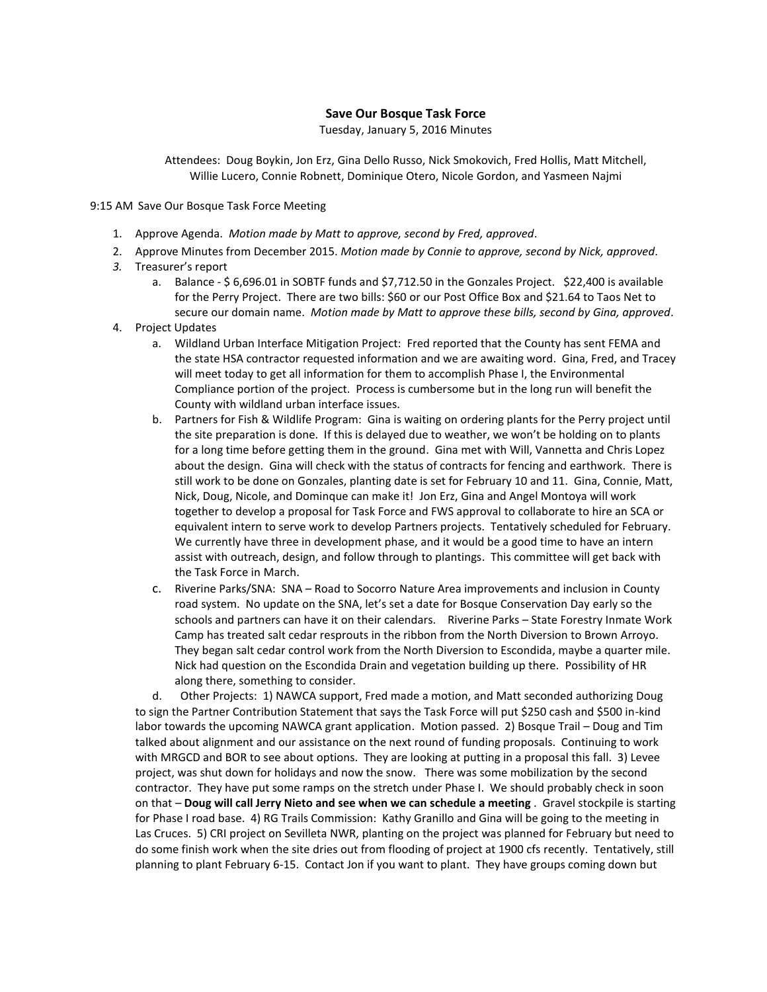## **Save Our Bosque Task Force**

Tuesday, January 5, 2016 Minutes

Attendees: Doug Boykin, Jon Erz, Gina Dello Russo, Nick Smokovich, Fred Hollis, Matt Mitchell, Willie Lucero, Connie Robnett, Dominique Otero, Nicole Gordon, and Yasmeen Najmi

9:15 AM Save Our Bosque Task Force Meeting

- 1. Approve Agenda. *Motion made by Matt to approve, second by Fred, approved*.
- 2. Approve Minutes from December 2015. *Motion made by Connie to approve, second by Nick, approved*.
- *3.* Treasurer's report
	- a. Balance \$ 6,696.01 in SOBTF funds and \$7,712.50 in the Gonzales Project. \$22,400 is available for the Perry Project. There are two bills: \$60 or our Post Office Box and \$21.64 to Taos Net to secure our domain name. *Motion made by Matt to approve these bills, second by Gina, approved*.
- 4. Project Updates
	- a. Wildland Urban Interface Mitigation Project: Fred reported that the County has sent FEMA and the state HSA contractor requested information and we are awaiting word. Gina, Fred, and Tracey will meet today to get all information for them to accomplish Phase I, the Environmental Compliance portion of the project. Process is cumbersome but in the long run will benefit the County with wildland urban interface issues.
	- b. Partners for Fish & Wildlife Program: Gina is waiting on ordering plants for the Perry project until the site preparation is done. If this is delayed due to weather, we won't be holding on to plants for a long time before getting them in the ground. Gina met with Will, Vannetta and Chris Lopez about the design. Gina will check with the status of contracts for fencing and earthwork. There is still work to be done on Gonzales, planting date is set for February 10 and 11. Gina, Connie, Matt, Nick, Doug, Nicole, and Dominque can make it! Jon Erz, Gina and Angel Montoya will work together to develop a proposal for Task Force and FWS approval to collaborate to hire an SCA or equivalent intern to serve work to develop Partners projects. Tentatively scheduled for February. We currently have three in development phase, and it would be a good time to have an intern assist with outreach, design, and follow through to plantings. This committee will get back with the Task Force in March.
	- c. Riverine Parks/SNA: SNA Road to Socorro Nature Area improvements and inclusion in County road system. No update on the SNA, let's set a date for Bosque Conservation Day early so the schools and partners can have it on their calendars. Riverine Parks – State Forestry Inmate Work Camp has treated salt cedar resprouts in the ribbon from the North Diversion to Brown Arroyo. They began salt cedar control work from the North Diversion to Escondida, maybe a quarter mile. Nick had question on the Escondida Drain and vegetation building up there. Possibility of HR along there, something to consider.

d. Other Projects: 1) NAWCA support, Fred made a motion, and Matt seconded authorizing Doug to sign the Partner Contribution Statement that says the Task Force will put \$250 cash and \$500 in-kind labor towards the upcoming NAWCA grant application. Motion passed. 2) Bosque Trail – Doug and Tim talked about alignment and our assistance on the next round of funding proposals. Continuing to work with MRGCD and BOR to see about options. They are looking at putting in a proposal this fall. 3) Levee project, was shut down for holidays and now the snow. There was some mobilization by the second contractor. They have put some ramps on the stretch under Phase I. We should probably check in soon on that – **Doug will call Jerry Nieto and see when we can schedule a meeting** . Gravel stockpile is starting for Phase I road base. 4) RG Trails Commission: Kathy Granillo and Gina will be going to the meeting in Las Cruces. 5) CRI project on Sevilleta NWR, planting on the project was planned for February but need to do some finish work when the site dries out from flooding of project at 1900 cfs recently. Tentatively, still planning to plant February 6-15. Contact Jon if you want to plant. They have groups coming down but